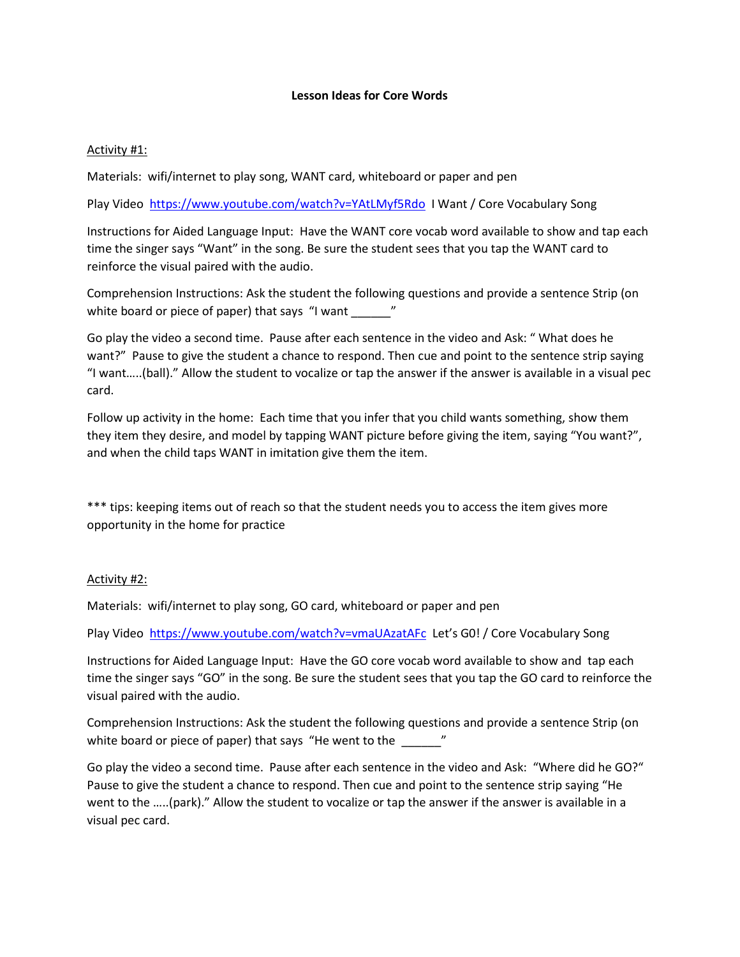### **Lesson Ideas for Core Words**

# Activity #1:

Materials: wifi/internet to play song, WANT card, whiteboard or paper and pen

Play Video<https://www.youtube.com/watch?v=YAtLMyf5Rdo>I Want / Core Vocabulary Song

Instructions for Aided Language Input: Have the WANT core vocab word available to show and tap each time the singer says "Want" in the song. Be sure the student sees that you tap the WANT card to reinforce the visual paired with the audio.

Comprehension Instructions: Ask the student the following questions and provide a sentence Strip (on white board or piece of paper) that says "I want \_\_\_\_\_\_\_"

Go play the video a second time. Pause after each sentence in the video and Ask: " What does he want?" Pause to give the student a chance to respond. Then cue and point to the sentence strip saying "I want…..(ball)." Allow the student to vocalize or tap the answer if the answer is available in a visual pec card.

Follow up activity in the home: Each time that you infer that you child wants something, show them they item they desire, and model by tapping WANT picture before giving the item, saying "You want?", and when the child taps WANT in imitation give them the item.

\*\*\* tips: keeping items out of reach so that the student needs you to access the item gives more opportunity in the home for practice

## Activity #2:

Materials: wifi/internet to play song, GO card, whiteboard or paper and pen

Play Video<https://www.youtube.com/watch?v=vmaUAzatAFc>Let's G0! / Core Vocabulary Song

Instructions for Aided Language Input: Have the GO core vocab word available to show and tap each time the singer says "GO" in the song. Be sure the student sees that you tap the GO card to reinforce the visual paired with the audio.

Comprehension Instructions: Ask the student the following questions and provide a sentence Strip (on white board or piece of paper) that says "He went to the \_\_\_\_\_\_"

Go play the video a second time. Pause after each sentence in the video and Ask: "Where did he GO?" Pause to give the student a chance to respond. Then cue and point to the sentence strip saying "He went to the …..(park)." Allow the student to vocalize or tap the answer if the answer is available in a visual pec card.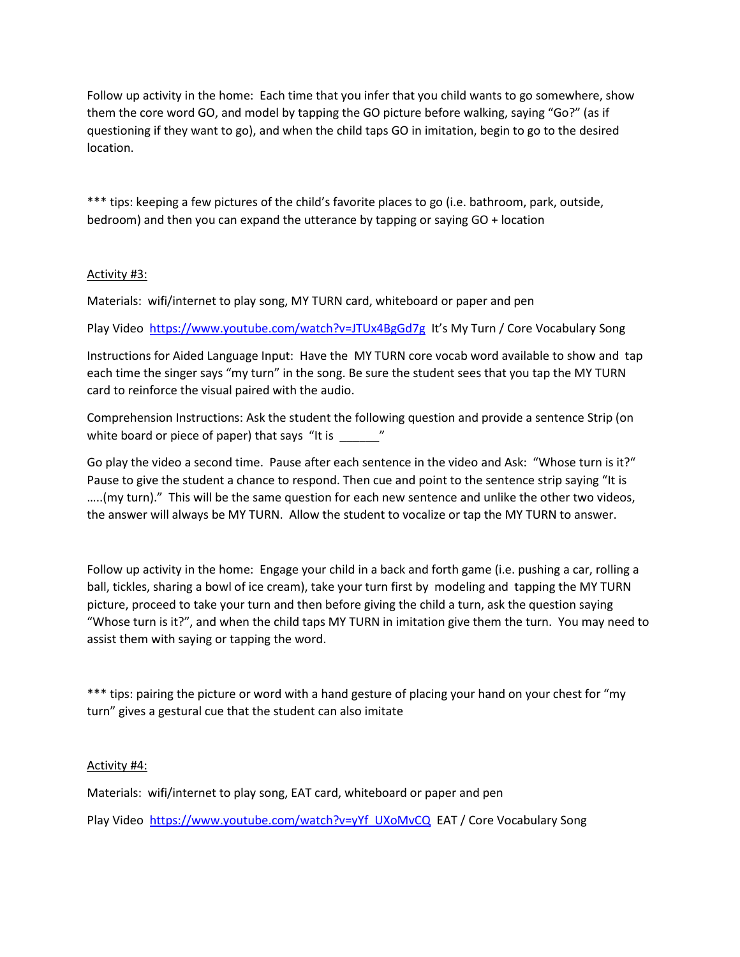Follow up activity in the home: Each time that you infer that you child wants to go somewhere, show them the core word GO, and model by tapping the GO picture before walking, saying "Go?" (as if questioning if they want to go), and when the child taps GO in imitation, begin to go to the desired location.

\*\*\* tips: keeping a few pictures of the child's favorite places to go (i.e. bathroom, park, outside, bedroom) and then you can expand the utterance by tapping or saying GO + location

## Activity #3:

Materials: wifi/internet to play song, MY TURN card, whiteboard or paper and pen

Play Video<https://www.youtube.com/watch?v=JTUx4BgGd7g>It's My Turn / Core Vocabulary Song

Instructions for Aided Language Input: Have the MY TURN core vocab word available to show and tap each time the singer says "my turn" in the song. Be sure the student sees that you tap the MY TURN card to reinforce the visual paired with the audio.

Comprehension Instructions: Ask the student the following question and provide a sentence Strip (on white board or piece of paper) that says "It is \_\_\_\_\_\_\_"

Go play the video a second time. Pause after each sentence in the video and Ask: "Whose turn is it?" Pause to give the student a chance to respond. Then cue and point to the sentence strip saying "It is …..(my turn)." This will be the same question for each new sentence and unlike the other two videos, the answer will always be MY TURN. Allow the student to vocalize or tap the MY TURN to answer.

Follow up activity in the home: Engage your child in a back and forth game (i.e. pushing a car, rolling a ball, tickles, sharing a bowl of ice cream), take your turn first by modeling and tapping the MY TURN picture, proceed to take your turn and then before giving the child a turn, ask the question saying "Whose turn is it?", and when the child taps MY TURN in imitation give them the turn. You may need to assist them with saying or tapping the word.

\*\*\* tips: pairing the picture or word with a hand gesture of placing your hand on your chest for "my turn" gives a gestural cue that the student can also imitate

## Activity #4:

Materials: wifi/internet to play song, EAT card, whiteboard or paper and pen

Play Video [https://www.youtube.com/watch?v=yYf\\_UXoMvCQ](https://www.youtube.com/watch?v=yYf_UXoMvCQ) EAT / Core Vocabulary Song